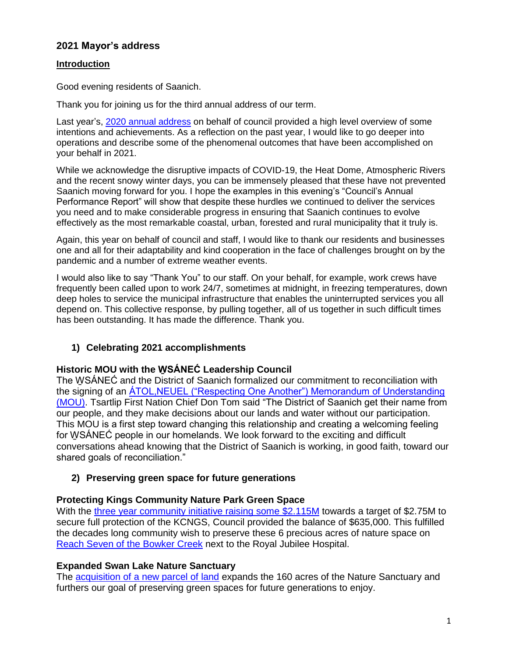# **2021 Mayor's address**

### **Introduction**

Good evening residents of Saanich.

Thank you for joining us for the third annual address of our term.

Last year's, [2020 annual address](https://www.saanich.ca/assets/Local~Government/Documents/Mayor~and~Council/2020-12-07-mayors-annual-address.pdf) on behalf of council provided a high level overview of some intentions and achievements. As a reflection on the past year, I would like to go deeper into operations and describe some of the phenomenal outcomes that have been accomplished on your behalf in 2021.

While we acknowledge the disruptive impacts of COVID-19, the Heat Dome, Atmospheric Rivers and the recent snowy winter days, you can be immensely pleased that these have not prevented Saanich moving forward for you. I hope the examples in this evening's "Council's Annual Performance Report" will show that despite these hurdles we continued to deliver the services you need and to make considerable progress in ensuring that Saanich continues to evolve effectively as the most remarkable coastal, urban, forested and rural municipality that it truly is.

Again, this year on behalf of council and staff, I would like to thank our residents and businesses one and all for their adaptability and kind cooperation in the face of challenges brought on by the pandemic and a number of extreme weather events.

I would also like to say "Thank You" to our staff. On your behalf, for example, work crews have frequently been called upon to work 24/7, sometimes at midnight, in freezing temperatures, down deep holes to service the municipal infrastructure that enables the uninterrupted services you all depend on. This collective response, by pulling together, all of us together in such difficult times has been outstanding. It has made the difference. Thank you.

# **1) Celebrating 2021 accomplishments**

# **Historic MOU with the W̱SÁNEĆ Leadership Council**

The WSÁNEC and the District of Saanich formalized our commitment to reconciliation with the signing of an **ATOL, NEUEL** ("Respecting One Another") Memorandum of Understanding [\(MOU\).](https://www.saanich.ca/EN/main/news-events/news-archives/2021/w-s-ne-leadership-council-and-district-of-saanich-sign-tol-neuel-mou.html) Tsartlip First Nation Chief Don Tom said "The District of Saanich get their name from our people, and they make decisions about our lands and water without our participation. This MOU is a first step toward changing this relationship and creating a welcoming feeling for WSANEC people in our homelands. We look forward to the exciting and difficult conversations ahead knowing that the District of Saanich is working, in good faith, toward our shared goals of reconciliation."

# **2) Preserving green space for future generations**

# **Protecting Kings Community Nature Park Green Space**

With the three [year community initiative raising some \\$2.115M](https://saanich.ca.granicus.com/MetaViewer.php?view_id=1&clip_id=582&meta_id=40910) towards a target of \$2.75M to secure full protection of the KCNGS, Council provided the balance of \$635,000. This fulfilled the decades long community wish to preserve these 6 precious acres of nature space on Reach Seven [of the Bowker Creek](https://www.crd.bc.ca/bowker-creek-initiative) next to the Royal Jubilee Hospital.

# **Expanded Swan Lake Nature Sanctuary**

The [acquisition of a new parcel of land](https://www.saanich.ca/EN/main/news-events/news-archives/2021/protecting-a-green-jewel-saanich-expands-the-swan-lake-nature-sanctuary.html) expands the 160 acres of the Nature Sanctuary and furthers our goal of preserving green spaces for future generations to enjoy.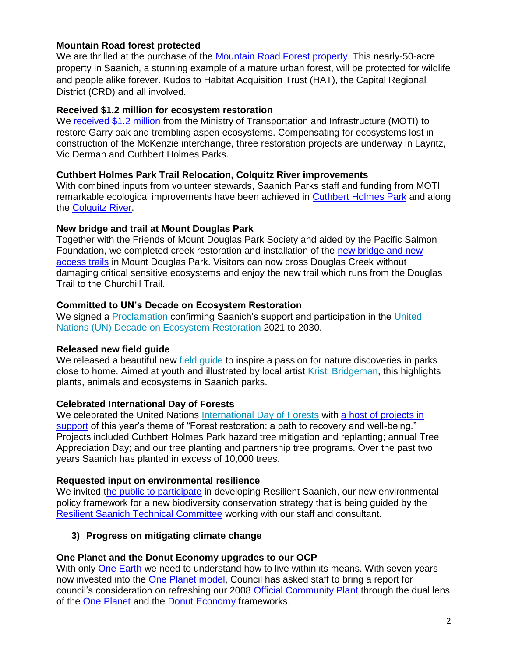### **Mountain Road forest protected**

We are thrilled at the purchase of the [Mountain Road Forest property.](https://www.crd.bc.ca/about/news/article/2021/11/30/beautiful-mountain-road-forest-protected-for-generations-to-come) This nearly-50-acre property in Saanich, a stunning example of a mature urban forest, will be protected for wildlife and people alike forever. Kudos to Habitat Acquisition Trust (HAT), the Capital Regional District (CRD) and all involved.

#### **Received \$1.2 million for ecosystem restoration**

We [received \\$1.2 million](https://www.saanich.ca/EN/main/news-events/news-archives/2021/saanich-receives-1-2-million-for-ecosystem-restoration.html) from the Ministry of Transportation and Infrastructure (MOTI) to restore Garry oak and trembling aspen ecosystems. Compensating for ecosystems lost in construction of the McKenzie interchange, three restoration projects are underway in Layritz, Vic Derman and Cuthbert Holmes Parks.

### **Cuthbert Holmes Park Trail Relocation, Colquitz River improvements**

With combined inputs from volunteer stewards, Saanich Parks staff and funding from MOTI remarkable ecological improvements have been achieved in [Cuthbert Holmes Park](https://www.saanich.ca/EN/main/parks-recreation-community/parks/projects-in-saanich-parks/active-projects/cuthbert-holmes-park-trail-relocation-and-colquitz-river-improvements.html) and along the [Colquitz River.](https://www.saanichnews.com/marketplace/fish-friendly-restoration-taking-root-along-saanichs-colquitz-river/)

### **New bridge and trail at Mount Douglas Park**

Together with the Friends of Mount Douglas Park Society and aided by the Pacific Salmon Foundation, we completed creek restoration and installation of the [new bridge and new](https://www.saanich.ca/EN/main/news-events/news-archives/2021/new-bridge-and-trail-now-open-in-mount-douglas-park.html)  [access trails](https://www.saanich.ca/EN/main/news-events/news-archives/2021/new-bridge-and-trail-now-open-in-mount-douglas-park.html) in Mount Douglas Park. Visitors can now cross Douglas Creek without damaging critical sensitive ecosystems and enjoy the new trail which runs from the Douglas Trail to the Churchill Trail.

### **Committed to UN's Decade on Ecosystem Restoration**

We signed a [Proclamation](https://www.saanich.ca/EN/main/parks-recreation-community/parks/natural-areas/un-decade-on-ecosystem-restoration.html) confirming Saanich's support and participation in the United [Nations \(UN\) Decade on Ecosystem Restoration](https://www.decadeonrestoration.org/) 2021 to 2030.

# **Released new field guide**

We released a beautiful new field quide to inspire a passion for nature discoveries in parks close to home. Aimed at youth and illustrated by local artist [Kristi Bridgeman,](https://www.kristibridgeman.com/) this highlights plants, animals and ecosystems in Saanich parks.

# **Celebrated International Day of Forests**

We celebrated the United Nations [International Day of Forests](https://www.un.org/en/observances/forests-and-trees-day) with a host of projects in [support](https://www.saanich.ca/EN/main/news-events/news-archives/2021/saanich-parks-celebrates-international-day-of-forests.html) of this year's theme of "Forest restoration: a path to recovery and well-being." Projects included Cuthbert Holmes Park hazard tree mitigation and replanting; annual Tree Appreciation Day; and our tree planting and partnership tree programs. Over the past two years Saanich has planted in excess of 10,000 trees.

#### **Requested input on environmental resilience**

We invited [the public to participate](https://www.saanich.ca/EN/main/news-events/news-archives/2021/saanich-residents-to-have-their-say-on-environmental-resilience.html) in developing Resilient Saanich, our new environmental policy framework for a new biodiversity conservation strategy that is being guided by the [Resilient Saanich Technical Committee](https://www.saanich.ca/EN/main/community/natural-environment/resilient-saanich-environmental-policy-framework/resilient-saanich-technical-committee.html) working with our staff and consultant.

# **3) Progress on mitigating climate change**

#### **One Planet and the Donut Economy upgrades to our OCP**

With only **One Earth** we need to understand how to live within its means. With seven years now invested into the [One Planet model,](https://www.vicnews.com/news/saanich-to-pitch-one-planet-framework-for-sustainable-living-to-other-island-municipalities/) Council has asked staff to bring a report for council's consideration on refreshing our 2008 [Official Community Plant](https://www.saanich.ca/EN/main/community/community-planning/official-community-plan-ocp.html) through the dual lens of the [One Planet](https://www.oneplanetsaanich.org/stakeholders.html) and the [Donut Economy](https://communitycouncil.ca/a-doughnut-shaped-recovery-for-greater-victoria-event-summary/) frameworks.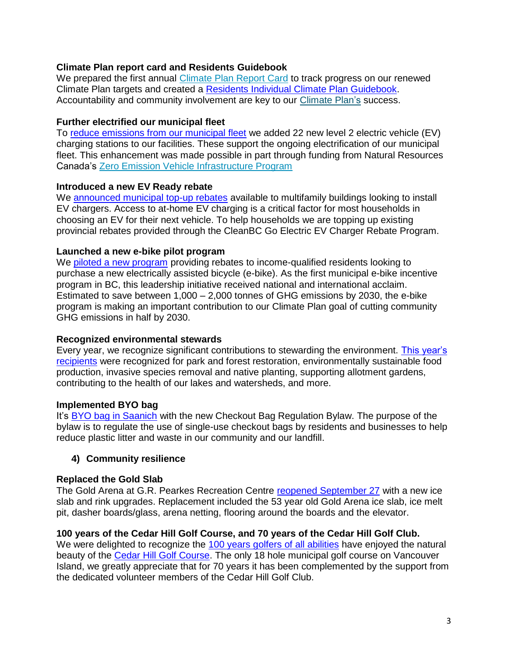### **Climate Plan report card and Residents Guidebook**

We prepared the first annual [Climate Plan Report Card](https://www.saanich.ca/EN/main/community/sustainable-saanich/climate-change/progress-reports.html) to track progress on our renewed Climate Plan targets and created a [Residents Individual Climate Plan Guidebook.](https://www.saanich.ca/assets/Community/Documents/Planning/sustainability/Climate-Guidebook.pdf) Accountability and community involvement are key to our [Climate Plan'](https://www.saanich.ca/EN/main/community/sustainable-saanich/saanich-climate-plan.html)s success.

#### **Further electrified our municipal fleet**

To [reduce emissions from our municipal fleet](https://www.saanich.ca/EN/main/news-events/news-archives/2021/saanich-takes-steps-to-further-electrify-municipal-fleet-reduce-emissions.html) we added 22 new level 2 electric vehicle (EV) charging stations to our facilities. These support the ongoing electrification of our municipal fleet. This enhancement was made possible in part through funding from Natural Resources Canada's [Zero Emission Vehicle Infrastructure Program](https://www.nrcan.gc.ca/energy-efficiency/energy-efficiency-transportation/zero-emission-vehicle-infrastructure-program/21876)

### **Introduced a new EV Ready rebate**

We [announced municipal top-up rebates](https://www.saanich.ca/EN/main/news-events/news-archives/2021/get-ready-to-go-electric-new-ev-ready-rebate-top-ups-for-multifamily-buildings.html) available to multifamily buildings looking to install EV chargers. Access to at-home EV charging is a critical factor for most households in choosing an EV for their next vehicle. To help households we are topping up existing provincial rebates provided through the CleanBC Go Electric EV Charger Rebate Program.

### **Launched a new e-bike pilot program**

We [piloted a new program](https://www.saanich.ca/EN/main/news-events/news-archives/2021/saanich-launches-new-pilot-program-to-help-more-residents-switch-to-e-bikes.html) providing rebates to income-qualified residents looking to purchase a new electrically assisted bicycle (e-bike). As the first municipal e-bike incentive program in BC, this leadership initiative received national and international acclaim. Estimated to save between 1,000 – 2,000 tonnes of GHG emissions by 2030, the e-bike program is making an important contribution to our Climate Plan goal of cutting community GHG emissions in half by 2030.

# **Recognized environmental stewards**

Every year, we recognize significant contributions to stewarding the environment. This year's [recipients](https://www.saanich.ca/EN/main/news-events/news-archives/2021/announcing-the-recipients-of-the-2021-saanich-environment-awards.html) were recognized for park and forest restoration, environmentally sustainable food production, invasive species removal and native planting, supporting allotment gardens, contributing to the health of our lakes and watersheds, and more.

# **Implemented BYO bag**

It's [BYO bag in Saanich](https://www.saanich.ca/EN/main/news-events/news-archives/2021/saanich-s-checkout-bag-regulation-bylaw-is-now-in-effect-time-to-byo-bag.html) with the new Checkout Bag Regulation Bylaw. The purpose of the bylaw is to regulate the use of single-use checkout bags by residents and businesses to help reduce plastic litter and waste in our community and our landfill.

# **4) Community resilience**

#### **Replaced the Gold Slab**

The Gold Arena at G.R. Pearkes Recreation Centre [reopened September 27](https://www.saanich.ca/EN/main/news-events/news-archives/2021/construction-commences-on-gold-arena-slab-replacement-project.html) with a new ice slab and rink upgrades. Replacement included the 53 year old Gold Arena ice slab, ice melt pit, dasher boards/glass, arena netting, flooring around the boards and the elevator.

# **100 years of the Cedar Hill Golf Course, and 70 years of the Cedar Hill Golf Club.**

We were delighted to recognize the [100 years golfers of all abilities](https://www.saanich.ca/EN/main/news-events/news-archives/2021/saanich-marks-100-years-of-the-cedar-hill-golf-course.html) have enjoyed the natural beauty of the [Cedar Hill Golf Course.](https://www.saanich.ca/EN/main/parks-recreation-community/cedar-hill-golf-course.html) The only 18 hole municipal golf course on Vancouver Island, we greatly appreciate that for 70 years it has been complemented by the support from the dedicated volunteer members of the Cedar Hill Golf Club.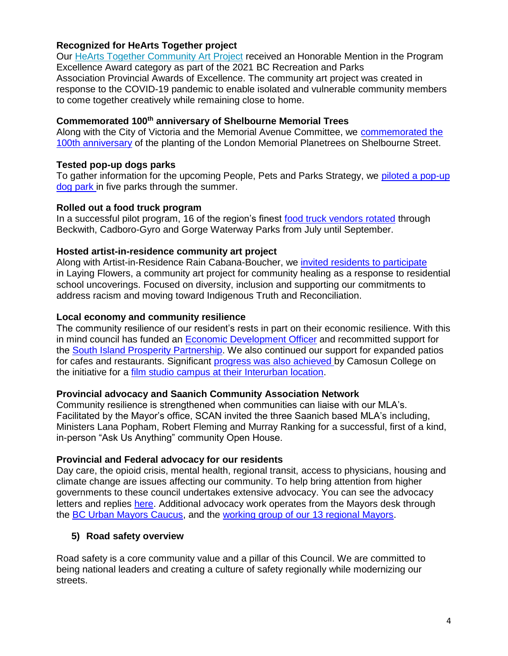### **Recognized for HeArts Together project**

Our [HeArts Together Community Art Project](https://www.saanich.ca/EN/main/parks-recreation-community/arts/hearts-together-community-art-project.html) received an Honorable Mention in the Program Excellence Award category as part of the 2021 BC Recreation and Parks Association Provincial Awards of Excellence. The community art project was created in response to the COVID-19 pandemic to enable isolated and vulnerable community members to come together creatively while remaining close to home.

#### **Commemorated 100th anniversary of Shelbourne Memorial Trees**

Along with the City of Victoria and the Memorial Avenue Committee, we [commemorated the](https://www.saanich.ca/EN/main/news-events/news-archives/2021/100th-anniversary-of-shelbourne-memorial-trees-honoured.html)  [100th anniversary](https://www.saanich.ca/EN/main/news-events/news-archives/2021/100th-anniversary-of-shelbourne-memorial-trees-honoured.html) of the planting of the London Memorial Planetrees on Shelbourne Street.

#### **Tested pop-up dogs parks**

To gather information for the upcoming People, Pets and Parks Strategy, we piloted a pop-up [dog park](https://www.saanich.ca/EN/main/news-events/news-archives/2021/dogs-invited-to-pop-up-parks-this-summer.html) in five parks through the summer.

### **Rolled out a food truck program**

In a successful pilot program, 16 of the region's finest [food truck vendors rotated](https://www.saanich.ca/EN/main/news-events/news-archives/2021/food-truck-pilot-program-rolls-out-july-1.html) through Beckwith, Cadboro-Gyro and Gorge Waterway Parks from July until September.

### **Hosted artist-in-residence community art project**

Along with Artist-in-Residence Rain Cabana-Boucher, we [invited residents to participate](https://www.saanich.ca/EN/main/news-events/news-archives/2021/participate-in-laying-flowers-with-rain-cabana-boucher.html) in Laying Flowers, a community art project for community healing as a response to residential school uncoverings. Focused on diversity, inclusion and supporting our commitments to address racism and moving toward Indigenous Truth and Reconciliation.

### **Local economy and community resilience**

The community resilience of our resident's rests in part on their economic resilience. With this in mind council has funded an [Economic Development Officer](https://www.saanich.ca/EN/main/news-events/news-archives/2021/council-funds-priority-goals-in-new-financial-plan.html) and recommitted support for the [South Island Prosperity Partnership.](https://southislandprosperity.ca/) We also continued our support for expanded patios for cafes and restaurants. Significant [progress was also achieved](https://camosun.ca/community/film-studio) by Camosun College on the initiative for a film studio [campus at their Interurban location.](https://camosun.ca/news/funding-support-camosun-film-studio-educational-planning)

# **Provincial advocacy and Saanich Community Association Network**

Community resilience is strengthened when communities can liaise with our MLA's. Facilitated by the Mayor's office, SCAN invited the three Saanich based MLA's including, Ministers Lana Popham, Robert Fleming and Murray Ranking for a successful, first of a kind, in-person "Ask Us Anything" community Open House.

# **Provincial and Federal advocacy for our residents**

Day care, the opioid crisis, mental health, regional transit, access to physicians, housing and climate change are issues affecting our community. To help bring attention from higher governments to these council undertakes extensive advocacy. You can see the advocacy letters and replies [here.](https://www.saanich.ca/EN/main/local-government/strategic-and-financial-planning-1/the-strategic-plan/council-advocacy.html) Additional advocacy work operates from the Mayors desk through the [BC Urban Mayors Caucus,](https://www.bcurbanmayorscaucus.ca/our-blueprint/) and the [working group of our 13 regional Mayors.](https://www.timescolonist.com/opinion/comment-press-candidates-on-housing-transportation-4691527)

# **5) Road safety overview**

Road safety is a core community value and a pillar of this Council. We are committed to being national leaders and creating a culture of safety regionally while modernizing our streets.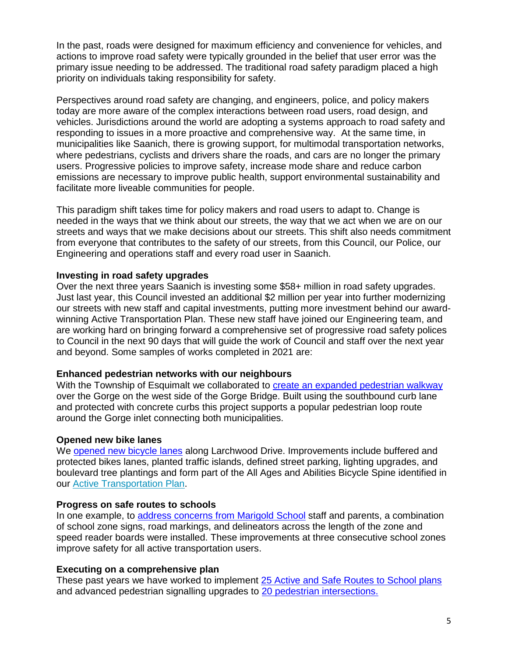In the past, roads were designed for maximum efficiency and convenience for vehicles, and actions to improve road safety were typically grounded in the belief that user error was the primary issue needing to be addressed. The traditional road safety paradigm placed a high priority on individuals taking responsibility for safety.

Perspectives around road safety are changing, and engineers, police, and policy makers today are more aware of the complex interactions between road users, road design, and vehicles. Jurisdictions around the world are adopting a systems approach to road safety and responding to issues in a more proactive and comprehensive way. At the same time, in municipalities like Saanich, there is growing support, for multimodal transportation networks, where pedestrians, cyclists and drivers share the roads, and cars are no longer the primary users. Progressive policies to improve safety, increase mode share and reduce carbon emissions are necessary to improve public health, support environmental sustainability and facilitate more liveable communities for people.

This paradigm shift takes time for policy makers and road users to adapt to. Change is needed in the ways that we think about our streets, the way that we act when we are on our streets and ways that we make decisions about our streets. This shift also needs commitment from everyone that contributes to the safety of our streets, from this Council, our Police, our Engineering and operations staff and every road user in Saanich.

#### **Investing in road safety upgrades**

Over the next three years Saanich is investing some \$58+ million in road safety upgrades. Just last year, this Council invested an additional \$2 million per year into further modernizing our streets with new staff and capital investments, putting more investment behind our awardwinning Active Transportation Plan. These new staff have joined our Engineering team, and are working hard on bringing forward a comprehensive set of progressive road safety polices to Council in the next 90 days that will guide the work of Council and staff over the next year and beyond. Some samples of works completed in 2021 are:

# **Enhanced pedestrian networks with our neighbours**

With the Township of Esquimalt we collaborated to [create an expanded pedestrian walkway](https://www.saanich.ca/EN/main/news-events/news-archives/2021/gorge-bridge-pedestrian-walkway-enhancement-links-saanich-and-esquimalt-pedestrian-networks.html) over the Gorge on the west side of the Gorge Bridge. Built using the southbound curb lane and protected with concrete curbs this project supports a popular pedestrian loop route around the Gorge inlet connecting both municipalities.

#### **Opened new bike lanes**

We [opened new bicycle lanes](https://www.saanich.ca/EN/main/news-events/news-archives/2021/larchwood-drive-bike-lanes-are-ready-and-open.html) along Larchwood Drive. Improvements include buffered and protected bikes lanes, planted traffic islands, defined street parking, lighting upgrades, and boulevard tree plantings and form part of the All Ages and Abilities Bicycle Spine identified in our [Active Transportation Plan.](https://www.saanich.ca/EN/main/community/getting-around/active-transportation-plan.html)

#### **Progress on safe routes to schools**

In one example, to [address concerns from Marigold](https://www.saanich.ca/EN/main/news-events/news-archives/2021/safe-routes-to-school-results-in-marigold-school-zone-improvements.html) School staff and parents, a combination of school zone signs, road markings, and delineators across the length of the zone and speed reader boards were installed. These improvements at three consecutive school zones improve safety for all active transportation users.

# **Executing on a comprehensive plan**

These past years we have worked to implement [25 Active and Safe Routes to School plans](https://www.saanich.ca/EN/main/community/getting-around/walking/safe-routes-to-school.html) and advanced pedestrian signalling upgrades to [20 pedestrian intersections.](https://www.saanich.ca/EN/main/community/getting-around/walking/leading-pedestrian-intervals.html)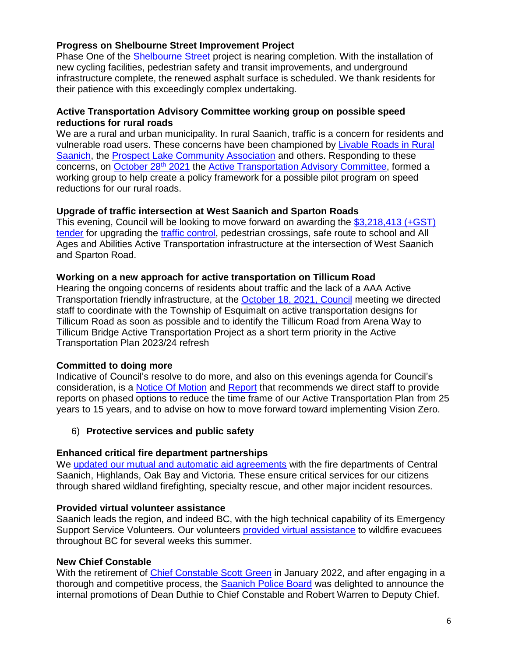### **Progress on Shelbourne Street Improvement Project**

Phase One of the [Shelbourne Street](https://www.saanich.ca/EN/main/local-government/departments/engineering-department/shelbourne-street-improvement-project.html) project is nearing completion. With the installation of new cycling facilities, pedestrian safety and transit improvements, and underground infrastructure complete, the renewed asphalt surface is scheduled. We thank residents for their patience with this exceedingly complex undertaking.

### **Active Transportation Advisory Committee working group on possible speed reductions for rural roads**

We are a rural and urban municipality. In rural Saanich, traffic is a concern for residents and vulnerable road users. These concerns have been championed by [Livable Roads in Rural](https://lrrs.org/)  [Saanich,](https://lrrs.org/) the [Prospect Lake Community Association](https://pldca.com/) and others. Responding to these concerns, on [October 28](https://www.saanich.ca/assets/Local~Government/Documents/Committees~and~Boards/ATAC/Agendas/2021~Agendas/2021-10-28-atac-agenda.pdf)<sup>th</sup> 2021 the [Active Transportation Advisory Committee,](https://www.saanich.ca/EN/main/local-government/committees-boards/bicycle-pedestrian-mobility-advisory-committee/2021-schedule-agendas-minutes.html) formed a working group to help create a policy framework for a possible pilot program on speed reductions for our rural roads.

### **Upgrade of traffic intersection at West Saanich and Sparton Roads**

This evening, Council will be looking to move forward on awarding the [\\$3,218,413 \(+GST\)](https://saanich.ca.granicus.com/MetaViewer.php?view_id=1&event_id=865&meta_id=41779)  [tender](https://saanich.ca.granicus.com/MetaViewer.php?view_id=1&event_id=865&meta_id=41779) for upgrading the [traffic control,](https://www.saanich.ca/assets/Local~Government/Documents/Engineering/074-2019%20MAP%20WEBSITE_March%202020.pdf) pedestrian crossings, safe route to school and All Ages and Abilities Active Transportation infrastructure at the intersection of West Saanich and Sparton Road.

### **Working on a new approach for active transportation on Tillicum Road**

Hearing the ongoing concerns of residents about traffic and the lack of a AAA Active Transportation friendly infrastructure, at the [October 18, 2021, Council](https://saanich.ca.granicus.com/MetaViewer.php?view_id=1&clip_id=572&meta_id=39828) meeting we directed staff to coordinate with the Township of Esquimalt on active transportation designs for Tillicum Road as soon as possible and to identify the Tillicum Road from Arena Way to Tillicum Bridge Active Transportation Project as a short term priority in the Active Transportation Plan 2023/24 refresh

# **Committed to doing more**

Indicative of Council's resolve to do more, and also on this evenings agenda for Council's consideration, is a [Notice Of Motion](https://saanich.ca.granicus.com/MetaViewer.php?view_id=1&event_id=865&meta_id=41807) and [Report](https://saanich.ca.granicus.com/MetaViewer.php?view_id=1&event_id=865&meta_id=41809) that recommends we direct staff to provide reports on phased options to reduce the time frame of our Active Transportation Plan from 25 years to 15 years, and to advise on how to move forward toward implementing Vision Zero.

#### 6) **Protective services and public safety**

#### **Enhanced critical fire department partnerships**

We [updated our mutual and automatic aid agreements](https://www.saanich.ca/EN/main/news-events/news-archives/2021/saanich-fire-department-enhances-partnerships-with-central-saanich-and-highlands.html) with the fire departments of Central Saanich, Highlands, Oak Bay and Victoria. These ensure critical services for our citizens through shared wildland firefighting, specialty rescue, and other major incident resources.

#### **Provided virtual volunteer assistance**

Saanich leads the region, and indeed BC, with the high technical capability of its Emergency Support Service Volunteers. Our volunteers [provided virtual assistance](https://www.saanich.ca/EN/main/news-events/news-archives/2021/saanich-volunteers-providing-virtual-assistance-to-wildfire-evacuees.html) to wildfire evacuees throughout BC for several weeks this summer.

#### **New Chief Constable**

With the retirement of [Chief Constable Scott Green](https://www.saanich.ca/EN/main/news-events/news-archives/2021/saanich-police-board-announces-dean-duthie-as-new-chief-constable.html) in January 2022, and after engaging in a thorough and competitive process, the [Saanich Police Board](https://www.saanichpolice.ca/index.php/about-us/saanich-police-board) was delighted to announce the internal promotions of Dean Duthie to Chief Constable and Robert Warren to Deputy Chief.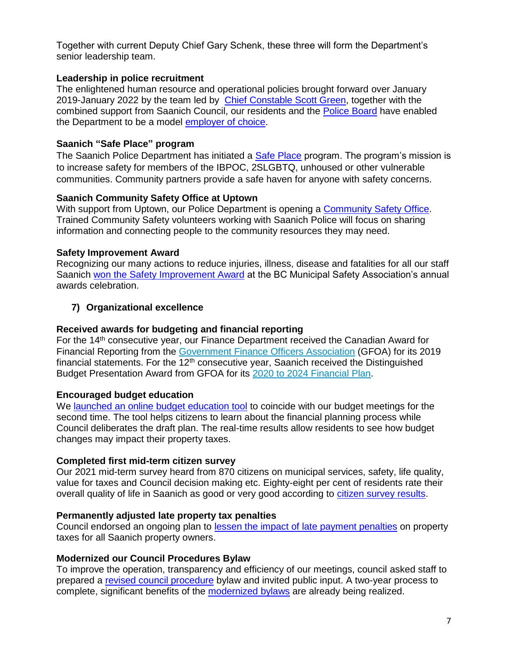Together with current Deputy Chief Gary Schenk, these three will form the Department's senior leadership team.

# **Leadership in police recruitment**

The enlightened human resource and operational policies brought forward over January 2019-January 2022 by the team led by [Chief Constable Scott Green,](https://www.saanichpolice.ca/index.php/spd-media/media-releases/1318-saanich-police-board-appoints-scott-green-as-chief-constable.html) together with the combined support from Saanich Council, our residents and the [Police Board](https://www.saanichpolice.ca/index.php/about-us/saanich-police-board) have enabled the Department to be a model [employer of choice.](https://joinspd.ca/)

# **Saanich "Safe Place" program**

The Saanich Police Department has initiated a **Safe Place** program. The program's mission is to increase safety for members of the IBPOC, 2SLGBTQ, unhoused or other vulnerable communities. Community partners provide a safe haven for anyone with safety concerns.

# **Saanich Community Safety Office at Uptown**

With support from Uptown, our Police Department is opening a [Community Safety Office.](https://www.saanichpolice.ca/index.php/crime-prevention/volunteer-hall-of-fame.html) Trained Community Safety volunteers working with Saanich Police will focus on sharing information and connecting people to the community resources they may need.

# **Safety Improvement Award**

Recognizing our many actions to reduce injuries, illness, disease and fatalities for all our staff Saanich [won the Safety Improvement Award](https://www.saanich.ca/EN/main/news-events/news-archives/2021/saanich-wins-safety-improvement-award.html) at the BC Municipal Safety Association's annual awards celebration.

# **7) Organizational excellence**

# **Received awards for budgeting and financial reporting**

For the 14th consecutive year, our Finance Department received the Canadian Award for Financial Reporting from the [Government Finance Officers Association](https://cagfo.ca/) (GFOA) for its 2019 financial statements. For the  $12<sup>th</sup>$  consecutive year, Saanich received the Distinguished Budget Presentation Award from GFOA for its [2020 to 2024 Financial Plan.](https://www.saanich.ca/assets/Local~Government/Documents/Corporate~and~Annual~Reports/2020%20Financial%20Plan%20Final.pdf)

# **Encouraged budget education**

We [launched an online budget education tool](https://www.saanich.ca/EN/main/news-events/news-archives/2021/saanich-encourages-budget-education-with-new-tool.html) to coincide with our budget meetings for the second time. The tool helps citizens to learn about the financial planning process while Council deliberates the draft plan. The real-time results allow residents to see how budget changes may impact their property taxes.

# **Completed first mid-term citizen survey**

Our 2021 mid-term survey heard from 870 citizens on municipal services, safety, life quality, value for taxes and Council decision making etc. Eighty-eight per cent of residents rate their overall quality of life in Saanich as good or very good according to [citizen survey results.](https://www.saanich.ca/EN/main/news-events/news-archives/2021/saanich-receives-results-from-online-citizen-survey.html)

# **Permanently adjusted late property tax penalties**

Council endorsed an ongoing plan to [lessen the impact of late payment penalties](https://www.saanich.ca/EN/main/news-events/news-archives/2021/saanich-adjusts-penalties-for-late-property-tax-payments-permanently.html) on property taxes for all Saanich property owners.

# **Modernized our Council Procedures Bylaw**

To improve the operation, transparency and efficiency of our meetings, council asked staff to prepared a [revised council procedure](https://www.vicnews.com/news/saanich-council-adopts-new-procedure-bylaw-changes-committee-of-the-whole-business-items/) bylaw and invited public input. A two-year process to complete, significant benefits of the **modernized bylaws** are already being realized.